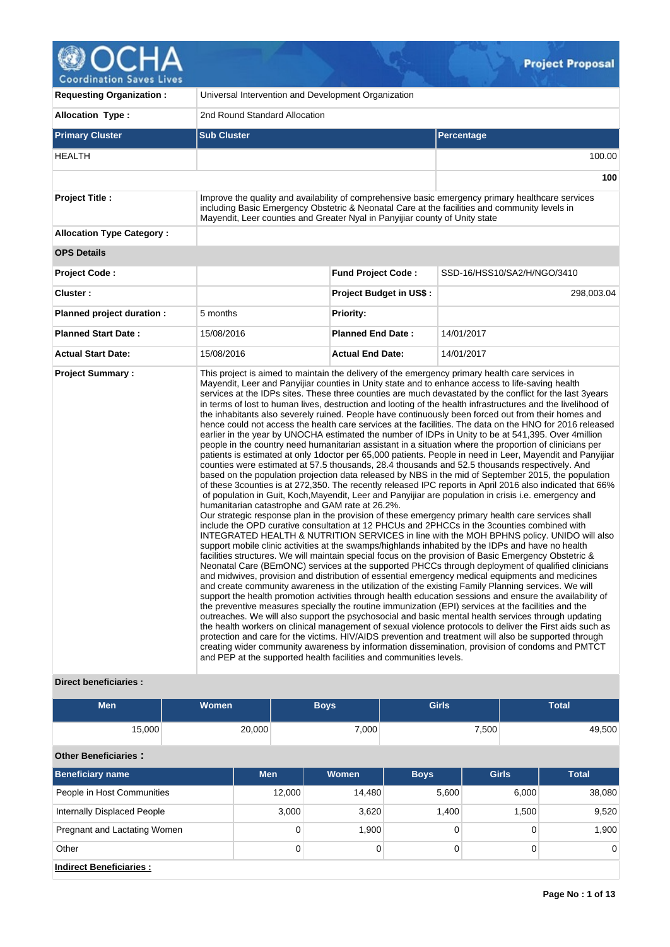| <b>Coordination Saves Lives</b>  |                                                                             |                                | <b>Project Proposal</b>                                                                                                                                                                                                                                                                                                                                                                                                                                                                                                                                                                                                                                                                                                                                                                                                                                                                                                                                                                                                                                                                                                                                                                                                                                                                                                                                                                                                                                                                                                                                                                                                                                                                                                                                                                                                                                                                                                             |
|----------------------------------|-----------------------------------------------------------------------------|--------------------------------|-------------------------------------------------------------------------------------------------------------------------------------------------------------------------------------------------------------------------------------------------------------------------------------------------------------------------------------------------------------------------------------------------------------------------------------------------------------------------------------------------------------------------------------------------------------------------------------------------------------------------------------------------------------------------------------------------------------------------------------------------------------------------------------------------------------------------------------------------------------------------------------------------------------------------------------------------------------------------------------------------------------------------------------------------------------------------------------------------------------------------------------------------------------------------------------------------------------------------------------------------------------------------------------------------------------------------------------------------------------------------------------------------------------------------------------------------------------------------------------------------------------------------------------------------------------------------------------------------------------------------------------------------------------------------------------------------------------------------------------------------------------------------------------------------------------------------------------------------------------------------------------------------------------------------------------|
| <b>Requesting Organization:</b>  | Universal Intervention and Development Organization                         |                                |                                                                                                                                                                                                                                                                                                                                                                                                                                                                                                                                                                                                                                                                                                                                                                                                                                                                                                                                                                                                                                                                                                                                                                                                                                                                                                                                                                                                                                                                                                                                                                                                                                                                                                                                                                                                                                                                                                                                     |
| Allocation Type:                 | 2nd Round Standard Allocation                                               |                                |                                                                                                                                                                                                                                                                                                                                                                                                                                                                                                                                                                                                                                                                                                                                                                                                                                                                                                                                                                                                                                                                                                                                                                                                                                                                                                                                                                                                                                                                                                                                                                                                                                                                                                                                                                                                                                                                                                                                     |
| <b>Primary Cluster</b>           | <b>Sub Cluster</b>                                                          |                                | <b>Percentage</b>                                                                                                                                                                                                                                                                                                                                                                                                                                                                                                                                                                                                                                                                                                                                                                                                                                                                                                                                                                                                                                                                                                                                                                                                                                                                                                                                                                                                                                                                                                                                                                                                                                                                                                                                                                                                                                                                                                                   |
| <b>HEALTH</b>                    |                                                                             |                                | 100.00                                                                                                                                                                                                                                                                                                                                                                                                                                                                                                                                                                                                                                                                                                                                                                                                                                                                                                                                                                                                                                                                                                                                                                                                                                                                                                                                                                                                                                                                                                                                                                                                                                                                                                                                                                                                                                                                                                                              |
|                                  |                                                                             |                                | 100                                                                                                                                                                                                                                                                                                                                                                                                                                                                                                                                                                                                                                                                                                                                                                                                                                                                                                                                                                                                                                                                                                                                                                                                                                                                                                                                                                                                                                                                                                                                                                                                                                                                                                                                                                                                                                                                                                                                 |
| <b>Project Title:</b>            | Mayendit, Leer counties and Greater Nyal in Panyijiar county of Unity state |                                | Improve the quality and availability of comprehensive basic emergency primary healthcare services<br>including Basic Emergency Obstetric & Neonatal Care at the facilities and community levels in                                                                                                                                                                                                                                                                                                                                                                                                                                                                                                                                                                                                                                                                                                                                                                                                                                                                                                                                                                                                                                                                                                                                                                                                                                                                                                                                                                                                                                                                                                                                                                                                                                                                                                                                  |
| <b>Allocation Type Category:</b> |                                                                             |                                |                                                                                                                                                                                                                                                                                                                                                                                                                                                                                                                                                                                                                                                                                                                                                                                                                                                                                                                                                                                                                                                                                                                                                                                                                                                                                                                                                                                                                                                                                                                                                                                                                                                                                                                                                                                                                                                                                                                                     |
| <b>OPS Details</b>               |                                                                             |                                |                                                                                                                                                                                                                                                                                                                                                                                                                                                                                                                                                                                                                                                                                                                                                                                                                                                                                                                                                                                                                                                                                                                                                                                                                                                                                                                                                                                                                                                                                                                                                                                                                                                                                                                                                                                                                                                                                                                                     |
| <b>Project Code:</b>             |                                                                             | <b>Fund Project Code:</b>      | SSD-16/HSS10/SA2/H/NGO/3410                                                                                                                                                                                                                                                                                                                                                                                                                                                                                                                                                                                                                                                                                                                                                                                                                                                                                                                                                                                                                                                                                                                                                                                                                                                                                                                                                                                                                                                                                                                                                                                                                                                                                                                                                                                                                                                                                                         |
| Cluster:                         |                                                                             | <b>Project Budget in US\$:</b> | 298,003.04                                                                                                                                                                                                                                                                                                                                                                                                                                                                                                                                                                                                                                                                                                                                                                                                                                                                                                                                                                                                                                                                                                                                                                                                                                                                                                                                                                                                                                                                                                                                                                                                                                                                                                                                                                                                                                                                                                                          |
| Planned project duration :       | 5 months                                                                    | <b>Priority:</b>               |                                                                                                                                                                                                                                                                                                                                                                                                                                                                                                                                                                                                                                                                                                                                                                                                                                                                                                                                                                                                                                                                                                                                                                                                                                                                                                                                                                                                                                                                                                                                                                                                                                                                                                                                                                                                                                                                                                                                     |
| <b>Planned Start Date:</b>       | 15/08/2016                                                                  | <b>Planned End Date:</b>       | 14/01/2017                                                                                                                                                                                                                                                                                                                                                                                                                                                                                                                                                                                                                                                                                                                                                                                                                                                                                                                                                                                                                                                                                                                                                                                                                                                                                                                                                                                                                                                                                                                                                                                                                                                                                                                                                                                                                                                                                                                          |
| <b>Actual Start Date:</b>        | 15/08/2016                                                                  | <b>Actual End Date:</b>        | 14/01/2017                                                                                                                                                                                                                                                                                                                                                                                                                                                                                                                                                                                                                                                                                                                                                                                                                                                                                                                                                                                                                                                                                                                                                                                                                                                                                                                                                                                                                                                                                                                                                                                                                                                                                                                                                                                                                                                                                                                          |
| <b>Project Summary:</b>          | humanitarian catastrophe and GAM rate at 26.2%.                             |                                | This project is aimed to maintain the delivery of the emergency primary health care services in<br>Mayendit, Leer and Panyijiar counties in Unity state and to enhance access to life-saving health<br>services at the IDPs sites. These three counties are much devastated by the conflict for the last 3years<br>in terms of lost to human lives, destruction and looting of the health infrastructures and the livelihood of<br>the inhabitants also severely ruined. People have continuously been forced out from their homes and<br>hence could not access the health care services at the facilities. The data on the HNO for 2016 released<br>earlier in the year by UNOCHA estimated the number of IDPs in Unity to be at 541,395. Over 4million<br>people in the country need humanitarian assistant in a situation where the proportion of clinicians per<br>patients is estimated at only 1 doctor per 65,000 patients. People in need in Leer, Mayendit and Panyijiar<br>counties were estimated at 57.5 thousands, 28.4 thousands and 52.5 thousands respectively. And<br>based on the population projection data released by NBS in the mid of September 2015, the population<br>of these 3 counties is at 272,350. The recently released IPC reports in April 2016 also indicated that 66%<br>of population in Guit, Koch, Mayendit, Leer and Panyijiar are population in crisis i.e. emergency and<br>Our strategic response plan in the provision of these emergency primary health care services shall<br>include the OPD curative consultation at 12 PHCUs and 2PHCCs in the 3counties combined with<br>INTEGRATED HEALTH & NUTRITION SERVICES in line with the MOH BPHNS policy. UNIDO will also<br>support mobile clinic activities at the swamps/highlands inhabited by the IDPs and have no health<br>facilities structures. We will maintain special focus on the provision of Basic Emergency Obstetric & |

## **Direct beneficiaries :**

| Men    | Women  | <b>Boys</b> | <b>Girls</b> | Total  |
|--------|--------|-------------|--------------|--------|
| 15,000 | 20,000 | 7,000       | 7,500        | 49,500 |

and PEP at the supported health facilities and communities levels.

Neonatal Care (BEmONC) services at the supported PHCCs through deployment of qualified clinicians and midwives, provision and distribution of essential emergency medical equipments and medicines and create community awareness in the utilization of the existing Family Planning services. We will support the health promotion activities through health education sessions and ensure the availability of the preventive measures specially the routine immunization (EPI) services at the facilities and the outreaches. We will also support the psychosocial and basic mental health services through updating the health workers on clinical management of sexual violence protocols to deliver the First aids such as protection and care for the victims. HIV/AIDS prevention and treatment will also be supported through creating wider community awareness by information dissemination, provision of condoms and PMTCT

# **Other Beneficiaries :**

| <b>Beneficiary name</b>      | <b>Men</b> | <b>Women</b> | <b>Boys</b> | <b>Girls</b> | <b>Total</b>   |
|------------------------------|------------|--------------|-------------|--------------|----------------|
| People in Host Communities   | 12,000     | 14,480       | 5,600       | 6,000        | 38,080         |
| Internally Displaced People  | 3,000      | 3,620        | 1.400       | 1,500        | 9,520          |
| Pregnant and Lactating Women | 0          | 1,900        |             |              | 1,900          |
| Other                        | 0          |              |             |              | $\overline{0}$ |
| Indirect Beneficiaries:      |            |              |             |              |                |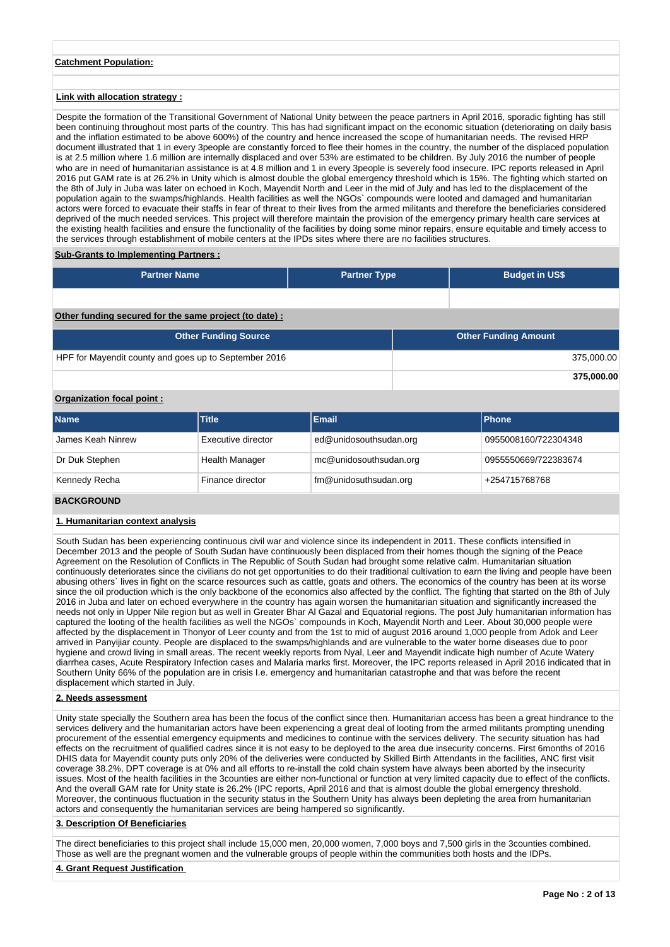### **Catchment Population:**

### **Link with allocation strategy :**

Despite the formation of the Transitional Government of National Unity between the peace partners in April 2016, sporadic fighting has still been continuing throughout most parts of the country. This has had significant impact on the economic situation (deteriorating on daily basis and the inflation estimated to be above 600%) of the country and hence increased the scope of humanitarian needs. The revised HRP document illustrated that 1 in every 3people are constantly forced to flee their homes in the country, the number of the displaced population is at 2.5 million where 1.6 million are internally displaced and over 53% are estimated to be children. By July 2016 the number of people who are in need of humanitarian assistance is at 4.8 million and 1 in every 3people is severely food insecure. IPC reports released in April 2016 put GAM rate is at 26.2% in Unity which is almost double the global emergency threshold which is 15%. The fighting which started on the 8th of July in Juba was later on echoed in Koch, Mayendit North and Leer in the mid of July and has led to the displacement of the population again to the swamps/highlands. Health facilities as well the NGOs` compounds were looted and damaged and humanitarian actors were forced to evacuate their staffs in fear of threat to their lives from the armed militants and therefore the beneficiaries considered deprived of the much needed services. This project will therefore maintain the provision of the emergency primary health care services at the existing health facilities and ensure the functionality of the facilities by doing some minor repairs, ensure equitable and timely access to the services through establishment of mobile centers at the IPDs sites where there are no facilities structures.

### **Sub-Grants to Implementing Partners :**

| <b>Partner Name</b>                                    | <b>Partner Type</b> | <b>Budget in US\$</b>       |            |
|--------------------------------------------------------|---------------------|-----------------------------|------------|
|                                                        |                     |                             |            |
| Other funding secured for the same project (to date) : |                     |                             |            |
| <b>Other Funding Source</b>                            |                     | <b>Other Funding Amount</b> |            |
| HPF for Mayendit county and goes up to September 2016  |                     |                             | 375,000.00 |
|                                                        |                     |                             | 375,000.00 |

# **Organization focal point :**

| <b>Name</b>       | <b>Title</b>       | <b>Email</b>           | <b>IPhone</b>        |
|-------------------|--------------------|------------------------|----------------------|
| James Keah Ninrew | Executive director | ed@unidosouthsudan.org | 0955008160/722304348 |
| Dr Duk Stephen    | Health Manager     | mc@unidosouthsudan.org | 0955550669/722383674 |
| Kennedy Recha     | Finance director   | fm@unidosuthsudan.org  | +254715768768        |

# **BACKGROUND**

### **1. Humanitarian context analysis**

South Sudan has been experiencing continuous civil war and violence since its independent in 2011. These conflicts intensified in December 2013 and the people of South Sudan have continuously been displaced from their homes though the signing of the Peace Agreement on the Resolution of Conflicts in The Republic of South Sudan had brought some relative calm. Humanitarian situation continuously deteriorates since the civilians do not get opportunities to do their traditional cultivation to earn the living and people have been abusing others` lives in fight on the scarce resources such as cattle, goats and others. The economics of the country has been at its worse since the oil production which is the only backbone of the economics also affected by the conflict. The fighting that started on the 8th of July 2016 in Juba and later on echoed everywhere in the country has again worsen the humanitarian situation and significantly increased the needs not only in Upper Nile region but as well in Greater Bhar Al Gazal and Equatorial regions. The post July humanitarian information has captured the looting of the health facilities as well the NGOs` compounds in Koch, Mayendit North and Leer. About 30,000 people were affected by the displacement in Thonyor of Leer county and from the 1st to mid of august 2016 around 1,000 people from Adok and Leer arrived in Panyijiar county. People are displaced to the swamps/highlands and are vulnerable to the water borne diseases due to poor hygiene and crowd living in small areas. The recent weekly reports from Nyal, Leer and Mayendit indicate high number of Acute Watery diarrhea cases, Acute Respiratory Infection cases and Malaria marks first. Moreover, the IPC reports released in April 2016 indicated that in Southern Unity 66% of the population are in crisis I.e. emergency and humanitarian catastrophe and that was before the recent displacement which started in July.

#### **2. Needs assessment**

Unity state specially the Southern area has been the focus of the conflict since then. Humanitarian access has been a great hindrance to the services delivery and the humanitarian actors have been experiencing a great deal of looting from the armed militants prompting unending procurement of the essential emergency equipments and medicines to continue with the services delivery. The security situation has had effects on the recruitment of qualified cadres since it is not easy to be deployed to the area due insecurity concerns. First 6months of 2016 DHIS data for Mayendit county puts only 20% of the deliveries were conducted by Skilled Birth Attendants in the facilities, ANC first visit coverage 38.2%, DPT coverage is at 0% and all efforts to re-install the cold chain system have always been aborted by the insecurity issues. Most of the health facilities in the 3counties are either non-functional or function at very limited capacity due to effect of the conflicts. And the overall GAM rate for Unity state is 26.2% (IPC reports, April 2016 and that is almost double the global emergency threshold. Moreover, the continuous fluctuation in the security status in the Southern Unity has always been depleting the area from humanitarian actors and consequently the humanitarian services are being hampered so significantly.

### **3. Description Of Beneficiaries**

The direct beneficiaries to this project shall include 15,000 men, 20,000 women, 7,000 boys and 7,500 girls in the 3counties combined. Those as well are the pregnant women and the vulnerable groups of people within the communities both hosts and the IDPs.

### **4. Grant Request Justification**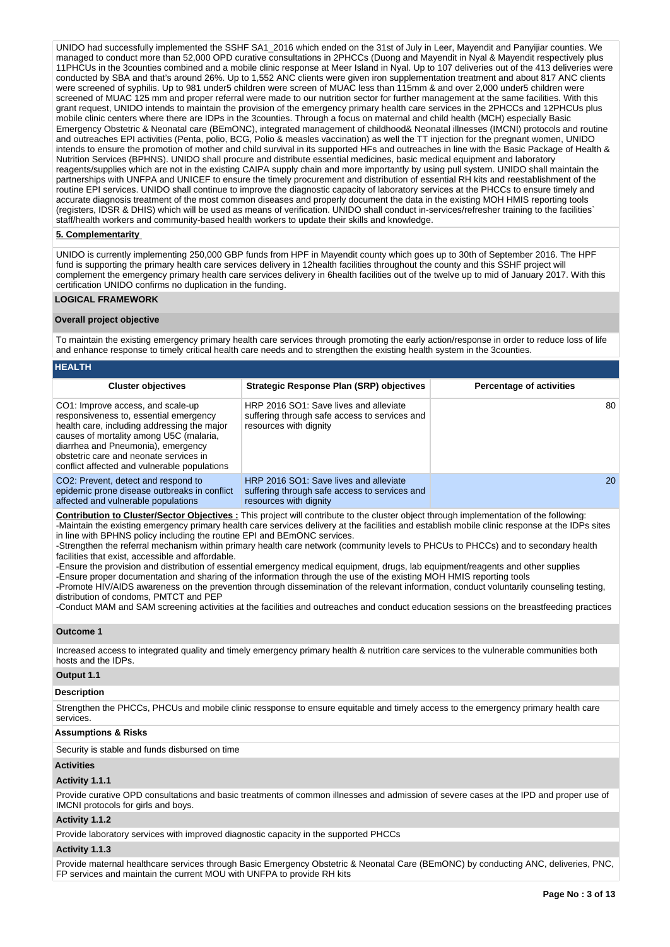UNIDO had successfully implemented the SSHF SA1\_2016 which ended on the 31st of July in Leer, Mayendit and Panyijiar counties. We managed to conduct more than 52,000 OPD curative consultations in 2PHCCs (Duong and Mayendit in Nyal & Mayendit respectively plus 11PHCUs in the 3counties combined and a mobile clinic response at Meer Island in Nyal. Up to 107 deliveries out of the 413 deliveries were conducted by SBA and that's around 26%. Up to 1,552 ANC clients were given iron supplementation treatment and about 817 ANC clients were screened of syphilis. Up to 981 under5 children were screen of MUAC less than 115mm & and over 2,000 under5 children were screened of MUAC 125 mm and proper referral were made to our nutrition sector for further management at the same facilities. With this grant request, UNIDO intends to maintain the provision of the emergency primary health care services in the 2PHCCs and 12PHCUs plus mobile clinic centers where there are IDPs in the 3counties. Through a focus on maternal and child health (MCH) especially Basic Emergency Obstetric & Neonatal care (BEmONC), integrated management of childhood& Neonatal illnesses (IMCNI) protocols and routine and outreaches EPI activities (Penta, polio, BCG, Polio & measles vaccination) as well the TT injection for the pregnant women, UNIDO intends to ensure the promotion of mother and child survival in its supported HFs and outreaches in line with the Basic Package of Health & Nutrition Services (BPHNS). UNIDO shall procure and distribute essential medicines, basic medical equipment and laboratory reagents/supplies which are not in the existing CAIPA supply chain and more importantly by using pull system. UNIDO shall maintain the partnerships with UNFPA and UNICEF to ensure the timely procurement and distribution of essential RH kits and reestablishment of the routine EPI services. UNIDO shall continue to improve the diagnostic capacity of laboratory services at the PHCCs to ensure timely and accurate diagnosis treatment of the most common diseases and properly document the data in the existing MOH HMIS reporting tools (registers, IDSR & DHIS) which will be used as means of verification. UNIDO shall conduct in-services/refresher training to the facilities` staff/health workers and community-based health workers to update their skills and knowledge.

### **5. Complementarity**

UNIDO is currently implementing 250,000 GBP funds from HPF in Mayendit county which goes up to 30th of September 2016. The HPF fund is supporting the primary health care services delivery in 12health facilities throughout the county and this SSHF project will complement the emergency primary health care services delivery in 6health facilities out of the twelve up to mid of January 2017. With this certification UNIDO confirms no duplication in the funding.

### **LOGICAL FRAMEWORK**

### **Overall project objective**

To maintain the existing emergency primary health care services through promoting the early action/response in order to reduce loss of life and enhance response to timely critical health care needs and to strengthen the existing health system in the 3counties.

| <b>HEALTH</b>                                                                                                                                                                                                                                                                                         |                                                                                                                   |                                 |
|-------------------------------------------------------------------------------------------------------------------------------------------------------------------------------------------------------------------------------------------------------------------------------------------------------|-------------------------------------------------------------------------------------------------------------------|---------------------------------|
| <b>Cluster objectives</b>                                                                                                                                                                                                                                                                             | <b>Strategic Response Plan (SRP) objectives</b>                                                                   | <b>Percentage of activities</b> |
| CO1: Improve access, and scale-up<br>responsiveness to, essential emergency<br>health care, including addressing the major<br>causes of mortality among U5C (malaria,<br>diarrhea and Pneumonia), emergency<br>obstetric care and neonate services in<br>conflict affected and vulnerable populations | HRP 2016 SO1: Save lives and alleviate<br>suffering through safe access to services and<br>resources with dignity | 80                              |
| CO <sub>2</sub> : Prevent, detect and respond to<br>epidemic prone disease outbreaks in conflict<br>affected and vulnerable populations                                                                                                                                                               | HRP 2016 SO1: Save lives and alleviate<br>suffering through safe access to services and<br>resources with dignity | <b>20</b>                       |

**Contribution to Cluster/Sector Objectives :** This project will contribute to the cluster object through implementation of the following: -Maintain the existing emergency primary health care services delivery at the facilities and establish mobile clinic response at the IDPs sites in line with BPHNS policy including the routine EPI and BEmONC services.

-Strengthen the referral mechanism within primary health care network (community levels to PHCUs to PHCCs) and to secondary health facilities that exist, accessible and affordable.

-Ensure the provision and distribution of essential emergency medical equipment, drugs, lab equipment/reagents and other supplies

-Ensure proper documentation and sharing of the information through the use of the existing MOH HMIS reporting tools

-Promote HIV/AIDS awareness on the prevention through dissemination of the relevant information, conduct voluntarily counseling testing, distribution of condoms, PMTCT and PEP

-Conduct MAM and SAM screening activities at the facilities and outreaches and conduct education sessions on the breastfeeding practices

## **Outcome 1**

Increased access to integrated quality and timely emergency primary health & nutrition care services to the vulnerable communities both hosts and the IDPs.

### **Output 1.1**

### **Description**

Strengthen the PHCCs, PHCUs and mobile clinic ressponse to ensure equitable and timely access to the emergency primary health care services

### **Assumptions & Risks**

Security is stable and funds disbursed on time

#### **Activities**

### **Activity 1.1.1**

Provide curative OPD consultations and basic treatments of common illnesses and admission of severe cases at the IPD and proper use of IMCNI protocols for girls and boys.

### **Activity 1.1.2**

Provide laboratory services with improved diagnostic capacity in the supported PHCCs

#### **Activity 1.1.3**

Provide maternal healthcare services through Basic Emergency Obstetric & Neonatal Care (BEmONC) by conducting ANC, deliveries, PNC, FP services and maintain the current MOU with UNFPA to provide RH kits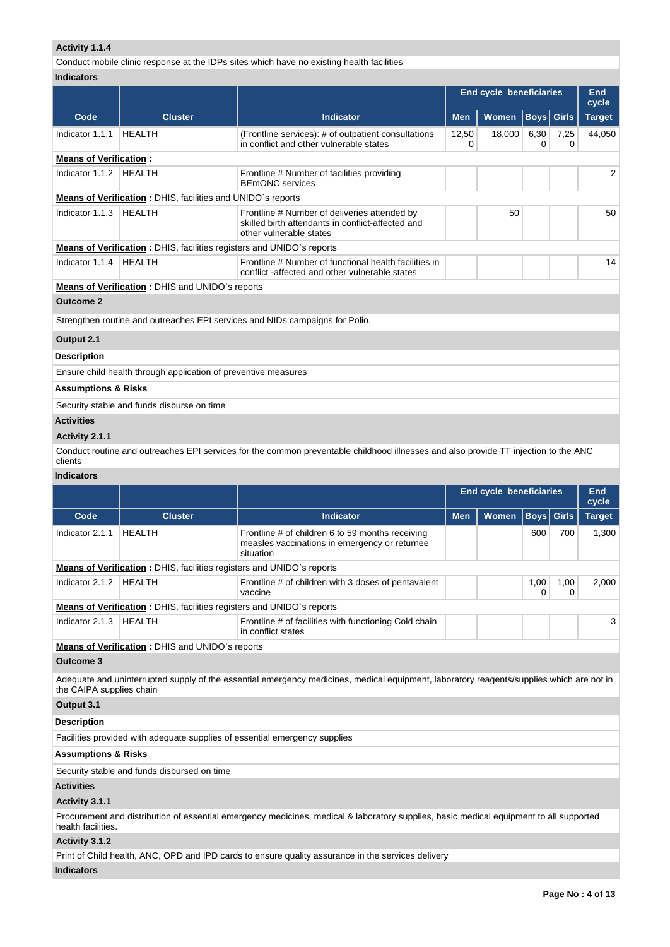# **Activity 1.1.4**

Conduct mobile clinic response at the IDPs sites which have no existing health facilities

| <b>Indicators</b> |
|-------------------|
|-------------------|

|                                |                                                                       |                                                                                                                              | <b>End cycle beneficiaries</b> | End<br>cycle |             |           |                |
|--------------------------------|-----------------------------------------------------------------------|------------------------------------------------------------------------------------------------------------------------------|--------------------------------|--------------|-------------|-----------|----------------|
| Code                           | <b>Cluster</b>                                                        | <b>Indicator</b>                                                                                                             | <b>Men</b>                     | <b>Women</b> | <b>Boys</b> | Girls     | <b>Target</b>  |
| Indicator 1.1.1                | <b>HEALTH</b>                                                         | (Frontline services): # of outpatient consultations<br>in conflict and other vulnerable states                               | 12,50<br>0                     | 18,000       | 6,30<br>0   | 7,25<br>0 | 44,050         |
| <b>Means of Verification:</b>  |                                                                       |                                                                                                                              |                                |              |             |           |                |
| Indicator 1.1.2                | <b>HEALTH</b>                                                         | Frontline # Number of facilities providing<br><b>BEmONC</b> services                                                         |                                |              |             |           | $\overline{2}$ |
|                                | Means of Verification: DHIS, facilities and UNIDO's reports           |                                                                                                                              |                                |              |             |           |                |
| Indicator 1.1.3                | <b>HEALTH</b>                                                         | Frontline # Number of deliveries attended by<br>skilled birth attendants in conflict-affected and<br>other vulnerable states |                                | 50           |             |           | 50             |
|                                | Means of Verification: DHIS, facilities registers and UNIDO's reports |                                                                                                                              |                                |              |             |           |                |
| Indicator 1.1.4                | <b>HEALTH</b>                                                         | Frontline # Number of functional health facilities in<br>conflict-affected and other vulnerable states                       |                                |              |             |           | 14             |
|                                | Means of Verification: DHIS and UNIDO's reports                       |                                                                                                                              |                                |              |             |           |                |
| <b>Outcome 2</b>               |                                                                       |                                                                                                                              |                                |              |             |           |                |
|                                |                                                                       | Strengthen routine and outreaches EPI services and NIDs campaigns for Polio.                                                 |                                |              |             |           |                |
| Output 2.1                     |                                                                       |                                                                                                                              |                                |              |             |           |                |
| <b>Description</b>             |                                                                       |                                                                                                                              |                                |              |             |           |                |
|                                | Ensure child health through application of preventive measures        |                                                                                                                              |                                |              |             |           |                |
| <b>Assumptions &amp; Risks</b> |                                                                       |                                                                                                                              |                                |              |             |           |                |
|                                | Security stable and funds disburse on time                            |                                                                                                                              |                                |              |             |           |                |

## **Activities**

# **Activity 2.1.1**

Conduct routine and outreaches EPI services for the common preventable childhood illnesses and also provide TT injection to the ANC clients

# **Indicators**

|                                |                                                                              |                                                                                                                                          | <b>End cycle beneficiaries</b> | <b>End</b><br>cycle |             |              |               |
|--------------------------------|------------------------------------------------------------------------------|------------------------------------------------------------------------------------------------------------------------------------------|--------------------------------|---------------------|-------------|--------------|---------------|
| Code                           | <b>Cluster</b>                                                               | <b>Indicator</b>                                                                                                                         | <b>Men</b>                     | Women               | <b>Boys</b> | <b>Girls</b> | <b>Target</b> |
| Indicator 2.1.1                | <b>HEALTH</b>                                                                | Frontline # of children 6 to 59 months receiving<br>measles vaccinations in emergency or returnee<br>situation                           |                                |                     | 600         | 700          | 1,300         |
|                                | Means of Verification: DHIS, facilities registers and UNIDO's reports        |                                                                                                                                          |                                |                     |             |              |               |
| Indicator 2.1.2                | <b>HEALTH</b>                                                                | Frontline # of children with 3 doses of pentavalent<br>vaccine                                                                           |                                |                     | 1,00<br>0   | 1,00<br>0    | 2,000         |
|                                | <b>Means of Verification:</b> DHIS, facilities registers and UNIDO's reports |                                                                                                                                          |                                |                     |             |              |               |
| Indicator 2.1.3                | <b>HEALTH</b>                                                                | Frontline # of facilities with functioning Cold chain<br>in conflict states                                                              |                                |                     |             |              | 3             |
|                                | Means of Verification: DHIS and UNIDO's reports                              |                                                                                                                                          |                                |                     |             |              |               |
| <b>Outcome 3</b>               |                                                                              |                                                                                                                                          |                                |                     |             |              |               |
| the CAIPA supplies chain       |                                                                              | Adequate and uninterrupted supply of the essential emergency medicines, medical equipment, laboratory reagents/supplies which are not in |                                |                     |             |              |               |
| Output 3.1                     |                                                                              |                                                                                                                                          |                                |                     |             |              |               |
| <b>Description</b>             |                                                                              |                                                                                                                                          |                                |                     |             |              |               |
|                                | Facilities provided with adequate supplies of essential emergency supplies   |                                                                                                                                          |                                |                     |             |              |               |
| <b>Assumptions &amp; Risks</b> |                                                                              |                                                                                                                                          |                                |                     |             |              |               |
|                                | Security stable and funds disbursed on time                                  |                                                                                                                                          |                                |                     |             |              |               |
| <b>Activities</b>              |                                                                              |                                                                                                                                          |                                |                     |             |              |               |
| Activity 3.1.1                 |                                                                              |                                                                                                                                          |                                |                     |             |              |               |
| health facilities.             |                                                                              | Procurement and distribution of essential emergency medicines, medical & laboratory supplies, basic medical equipment to all supported   |                                |                     |             |              |               |
| Activity 3.1.2                 |                                                                              |                                                                                                                                          |                                |                     |             |              |               |
|                                |                                                                              | Print of Child health, ANC, OPD and IPD cards to ensure quality assurance in the services delivery                                       |                                |                     |             |              |               |

# **Indicators**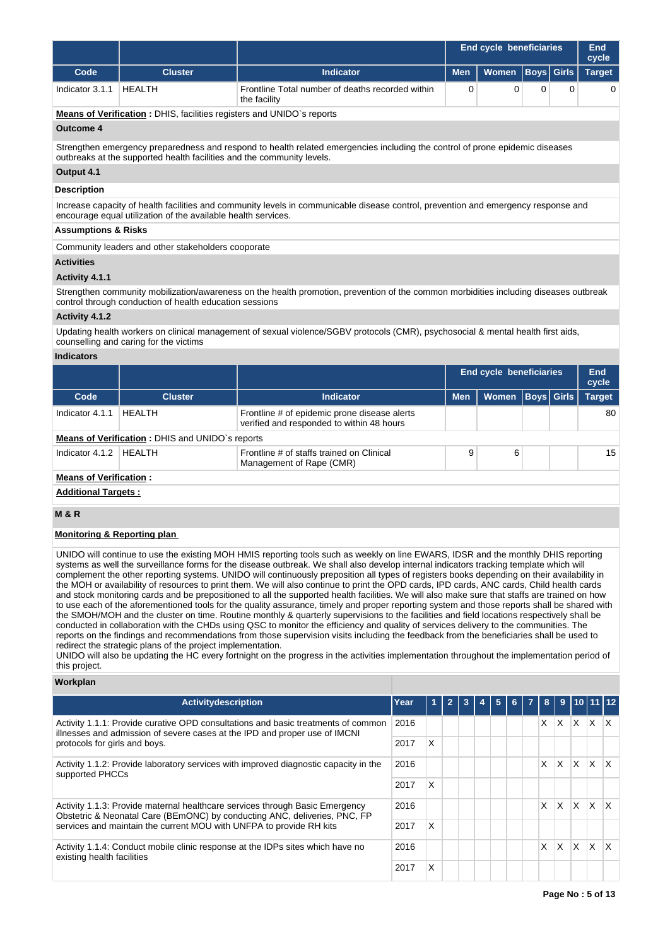|                                                                                                                                                                                                        |                                                                              |                                                                                                                                       | <b>End cycle beneficiaries</b> | <b>End</b><br>cycle |   |                   |               |
|--------------------------------------------------------------------------------------------------------------------------------------------------------------------------------------------------------|------------------------------------------------------------------------------|---------------------------------------------------------------------------------------------------------------------------------------|--------------------------------|---------------------|---|-------------------|---------------|
| Code                                                                                                                                                                                                   | <b>Cluster</b>                                                               | <b>Indicator</b>                                                                                                                      | <b>Men</b>                     | <b>Women</b>        |   | <b>Boys Girls</b> | <b>Target</b> |
| Indicator 3.1.1                                                                                                                                                                                        | <b>HEALTH</b>                                                                | Frontline Total number of deaths recorded within<br>the facility                                                                      | 0                              | 0                   | 0 | $\Omega$          | 0             |
|                                                                                                                                                                                                        | <b>Means of Verification:</b> DHIS, facilities registers and UNIDO's reports |                                                                                                                                       |                                |                     |   |                   |               |
| Outcome 4                                                                                                                                                                                              |                                                                              |                                                                                                                                       |                                |                     |   |                   |               |
| Strengthen emergency preparedness and respond to health related emergencies including the control of prone epidemic diseases<br>outbreaks at the supported health facilities and the community levels. |                                                                              |                                                                                                                                       |                                |                     |   |                   |               |
| Output 4.1                                                                                                                                                                                             |                                                                              |                                                                                                                                       |                                |                     |   |                   |               |
| <b>Description</b>                                                                                                                                                                                     |                                                                              |                                                                                                                                       |                                |                     |   |                   |               |
|                                                                                                                                                                                                        | encourage equal utilization of the available health services.                | Increase capacity of health facilities and community levels in communicable disease control, prevention and emergency response and    |                                |                     |   |                   |               |
| <b>Assumptions &amp; Risks</b>                                                                                                                                                                         |                                                                              |                                                                                                                                       |                                |                     |   |                   |               |
|                                                                                                                                                                                                        | Community leaders and other stakeholders cooporate                           |                                                                                                                                       |                                |                     |   |                   |               |
| <b>Activities</b>                                                                                                                                                                                      |                                                                              |                                                                                                                                       |                                |                     |   |                   |               |
| Activity 4.1.1                                                                                                                                                                                         |                                                                              |                                                                                                                                       |                                |                     |   |                   |               |
|                                                                                                                                                                                                        | control through conduction of health education sessions                      | Strengthen community mobilization/awareness on the health promotion, prevention of the common morbidities including diseases outbreak |                                |                     |   |                   |               |

## **Activity 4.1.2**

Updating health workers on clinical management of sexual violence/SGBV protocols (CMR), psychosocial & mental health first aids, counselling and caring for the victims

## **Indicators**

|                            |                                                        |                                                                                           | <b>End cycle beneficiaries</b> | End<br>cycle |                   |  |               |  |  |  |  |
|----------------------------|--------------------------------------------------------|-------------------------------------------------------------------------------------------|--------------------------------|--------------|-------------------|--|---------------|--|--|--|--|
| Code                       | <b>Cluster</b>                                         | <b>Indicator</b>                                                                          | <b>Men</b>                     | <b>Women</b> | <b>Boys</b> Girls |  | <b>Target</b> |  |  |  |  |
| Indicator 4.1.1            | HFAI TH                                                | Frontline # of epidemic prone disease alerts<br>verified and responded to within 48 hours |                                |              |                   |  | 80            |  |  |  |  |
|                            | <b>Means of Verification: DHIS and UNIDO's reports</b> |                                                                                           |                                |              |                   |  |               |  |  |  |  |
| Indicator 4.1.2            | <b>HFAITH</b>                                          | Frontline # of staffs trained on Clinical<br>Management of Rape (CMR)                     | 9                              | 6            |                   |  | 15            |  |  |  |  |
|                            | <b>Means of Verification:</b>                          |                                                                                           |                                |              |                   |  |               |  |  |  |  |
| <b>Additional Targets:</b> |                                                        |                                                                                           |                                |              |                   |  |               |  |  |  |  |

# **M & R**

## **Monitoring & Reporting plan**

UNIDO will continue to use the existing MOH HMIS reporting tools such as weekly on line EWARS, IDSR and the monthly DHIS reporting systems as well the surveillance forms for the disease outbreak. We shall also develop internal indicators tracking template which will complement the other reporting systems. UNIDO will continuously preposition all types of registers books depending on their availability in the MOH or availability of resources to print them. We will also continue to print the OPD cards, IPD cards, ANC cards, Child health cards and stock monitoring cards and be prepositioned to all the supported health facilities. We will also make sure that staffs are trained on how to use each of the aforementioned tools for the quality assurance, timely and proper reporting system and those reports shall be shared with the SMOH/MOH and the cluster on time. Routine monthly & quarterly supervisions to the facilities and field locations respectively shall be conducted in collaboration with the CHDs using QSC to monitor the efficiency and quality of services delivery to the communities. The reports on the findings and recommendations from those supervision visits including the feedback from the beneficiaries shall be used to redirect the strategic plans of the project implementation.

UNIDO will also be updating the HC every fortnight on the progress in the activities implementation throughout the implementation period of this project.

## **Workplan**

| Activitydescription                                                                                                                                                                              | Year | 1 | $\overline{2}$ | 3 | 5 |  |    |          |     | 6 7 8 9 10 11 12          |                         |
|--------------------------------------------------------------------------------------------------------------------------------------------------------------------------------------------------|------|---|----------------|---|---|--|----|----------|-----|---------------------------|-------------------------|
| Activity 1.1.1: Provide curative OPD consultations and basic treatments of common<br>illnesses and admission of severe cases at the IPD and proper use of IMCNI<br>protocols for girls and boys. | 2016 |   |                |   |   |  | X. | <b>X</b> | ΙX. | $\mathsf{X}$ $\mathsf{X}$ |                         |
|                                                                                                                                                                                                  | 2017 | X |                |   |   |  |    |          |     |                           |                         |
| Activity 1.1.2: Provide laboratory services with improved diagnostic capacity in the<br>supported PHCCs                                                                                          | 2016 |   |                |   |   |  | X  | X.       | X.  | ΙX.                       | $\mathsf{I} \mathsf{X}$ |
|                                                                                                                                                                                                  | 2017 | X |                |   |   |  |    |          |     |                           |                         |
| Activity 1.1.3: Provide maternal healthcare services through Basic Emergency<br>2016<br>Obstetric & Neonatal Care (BEmONC) by conducting ANC, deliveries, PNC, FP                                |      |   |                |   |   |  | X. | <b>X</b> | ΙX. | $\mathsf{X}$              | $\mathsf{I} \mathsf{X}$ |
| services and maintain the current MOU with UNFPA to provide RH kits                                                                                                                              | 2017 | X |                |   |   |  |    |          |     |                           |                         |
| Activity 1.1.4: Conduct mobile clinic response at the IDPs sites which have no<br>existing health facilities                                                                                     | 2016 |   |                |   |   |  | X  | <b>X</b> | ΙX. | ΙX.                       | $\mathsf{I} \mathsf{X}$ |
|                                                                                                                                                                                                  | 2017 | X |                |   |   |  |    |          |     |                           |                         |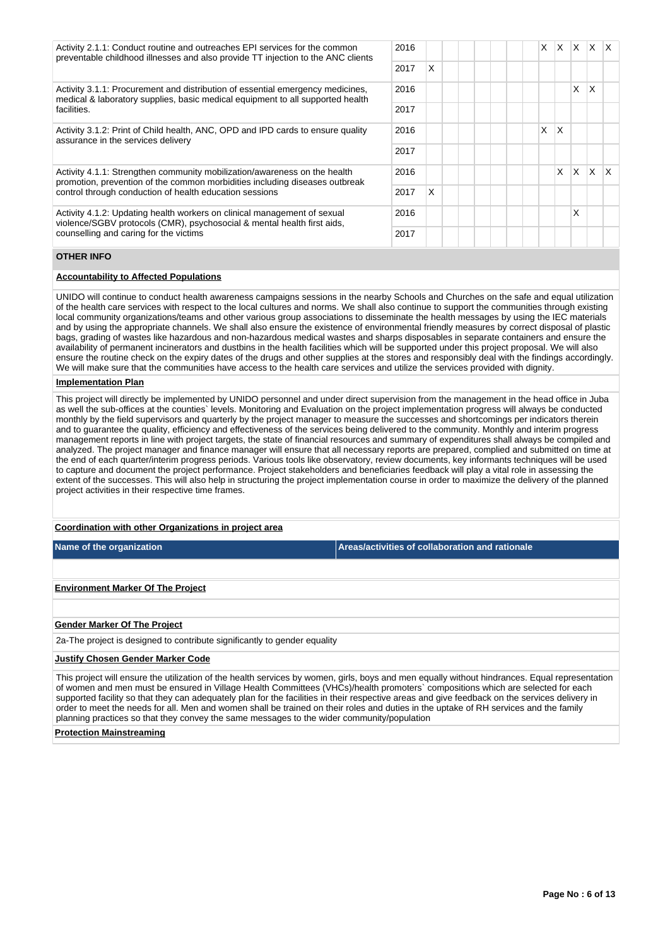| Activity 2.1.1: Conduct routine and outreaches EPI services for the common<br>preventable childhood illnesses and also provide TT injection to the ANC clients                                                      |  |   |  |  | X | X. | ΙX. | $X$ $X$  |    |
|---------------------------------------------------------------------------------------------------------------------------------------------------------------------------------------------------------------------|--|---|--|--|---|----|-----|----------|----|
|                                                                                                                                                                                                                     |  | X |  |  |   |    |     |          |    |
| Activity 3.1.1: Procurement and distribution of essential emergency medicines,<br>medical & laboratory supplies, basic medical equipment to all supported health<br>facilities.                                     |  |   |  |  |   |    | X   | X        |    |
|                                                                                                                                                                                                                     |  |   |  |  |   |    |     |          |    |
| Activity 3.1.2: Print of Child health, ANC, OPD and IPD cards to ensure quality<br>assurance in the services delivery                                                                                               |  |   |  |  | X | X  |     |          |    |
|                                                                                                                                                                                                                     |  |   |  |  |   |    |     |          |    |
| Activity 4.1.1: Strengthen community mobilization/awareness on the health<br>promotion, prevention of the common morbidities including diseases outbreak<br>control through conduction of health education sessions |  |   |  |  |   | X  | X   | <b>X</b> | ΙX |
|                                                                                                                                                                                                                     |  | X |  |  |   |    |     |          |    |
| Activity 4.1.2: Updating health workers on clinical management of sexual<br>violence/SGBV protocols (CMR), psychosocial & mental health first aids,<br>counselling and caring for the victims                       |  |   |  |  |   |    | X   |          |    |
|                                                                                                                                                                                                                     |  |   |  |  |   |    |     |          |    |

## **OTHER INFO**

## **Accountability to Affected Populations**

UNIDO will continue to conduct health awareness campaigns sessions in the nearby Schools and Churches on the safe and equal utilization of the health care services with respect to the local cultures and norms. We shall also continue to support the communities through existing local community organizations/teams and other various group associations to disseminate the health messages by using the IEC materials and by using the appropriate channels. We shall also ensure the existence of environmental friendly measures by correct disposal of plastic bags, grading of wastes like hazardous and non-hazardous medical wastes and sharps disposables in separate containers and ensure the availability of permanent incinerators and dustbins in the health facilities which will be supported under this project proposal. We will also ensure the routine check on the expiry dates of the drugs and other supplies at the stores and responsibly deal with the findings accordingly. We will make sure that the communities have access to the health care services and utilize the services provided with dignity.

### **Implementation Plan**

This project will directly be implemented by UNIDO personnel and under direct supervision from the management in the head office in Juba as well the sub-offices at the counties` levels. Monitoring and Evaluation on the project implementation progress will always be conducted monthly by the field supervisors and quarterly by the project manager to measure the successes and shortcomings per indicators therein and to guarantee the quality, efficiency and effectiveness of the services being delivered to the community. Monthly and interim progress management reports in line with project targets, the state of financial resources and summary of expenditures shall always be compiled and analyzed. The project manager and finance manager will ensure that all necessary reports are prepared, complied and submitted on time at the end of each quarter/interim progress periods. Various tools like observatory, review documents, key informants techniques will be used to capture and document the project performance. Project stakeholders and beneficiaries feedback will play a vital role in assessing the extent of the successes. This will also help in structuring the project implementation course in order to maximize the delivery of the planned project activities in their respective time frames.

## **Coordination with other Organizations in project area**

**Name of the organization Areas/activities of collaboration and rationale** 

**Environment Marker Of The Project**

#### **Gender Marker Of The Project**

2a-The project is designed to contribute significantly to gender equality

### **Justify Chosen Gender Marker Code**

This project will ensure the utilization of the health services by women, girls, boys and men equally without hindrances. Equal representation of women and men must be ensured in Village Health Committees (VHCs)/health promoters` compositions which are selected for each supported facility so that they can adequately plan for the facilities in their respective areas and give feedback on the services delivery in order to meet the needs for all. Men and women shall be trained on their roles and duties in the uptake of RH services and the family planning practices so that they convey the same messages to the wider community/population

## **Protection Mainstreaming**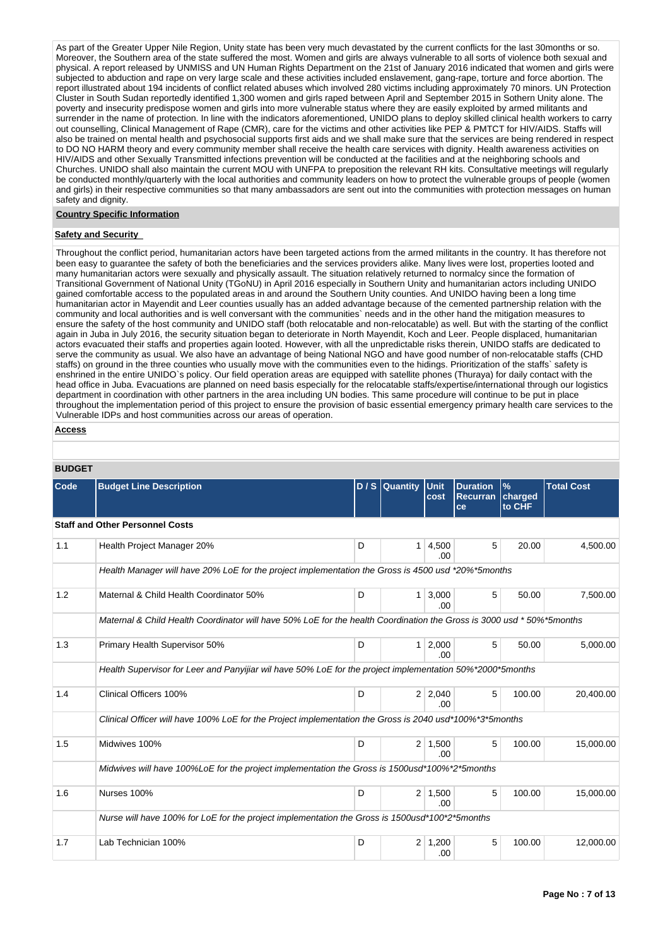As part of the Greater Upper Nile Region, Unity state has been very much devastated by the current conflicts for the last 30months or so. Moreover, the Southern area of the state suffered the most. Women and girls are always vulnerable to all sorts of violence both sexual and physical. A report released by UNMISS and UN Human Rights Department on the 21st of January 2016 indicated that women and girls were subjected to abduction and rape on very large scale and these activities included enslavement, gang-rape, torture and force abortion. The report illustrated about 194 incidents of conflict related abuses which involved 280 victims including approximately 70 minors. UN Protection Cluster in South Sudan reportedly identified 1,300 women and girls raped between April and September 2015 in Sothern Unity alone. The poverty and insecurity predispose women and girls into more vulnerable status where they are easily exploited by armed militants and surrender in the name of protection. In line with the indicators aforementioned, UNIDO plans to deploy skilled clinical health workers to carry out counselling, Clinical Management of Rape (CMR), care for the victims and other activities like PEP & PMTCT for HIV/AIDS. Staffs will also be trained on mental health and psychosocial supports first aids and we shall make sure that the services are being rendered in respect to DO NO HARM theory and every community member shall receive the health care services with dignity. Health awareness activities on HIV/AIDS and other Sexually Transmitted infections prevention will be conducted at the facilities and at the neighboring schools and Churches. UNIDO shall also maintain the current MOU with UNFPA to preposition the relevant RH kits. Consultative meetings will regularly be conducted monthly/quarterly with the local authorities and community leaders on how to protect the vulnerable groups of people (women and girls) in their respective communities so that many ambassadors are sent out into the communities with protection messages on human safety and dignity.

### **Country Specific Information**

## **Safety and Security**

Throughout the conflict period, humanitarian actors have been targeted actions from the armed militants in the country. It has therefore not been easy to guarantee the safety of both the beneficiaries and the services providers alike. Many lives were lost, properties looted and many humanitarian actors were sexually and physically assault. The situation relatively returned to normalcy since the formation of Transitional Government of National Unity (TGoNU) in April 2016 especially in Southern Unity and humanitarian actors including UNIDO gained comfortable access to the populated areas in and around the Southern Unity counties. And UNIDO having been a long time humanitarian actor in Mayendit and Leer counties usually has an added advantage because of the cemented partnership relation with the community and local authorities and is well conversant with the communities` needs and in the other hand the mitigation measures to ensure the safety of the host community and UNIDO staff (both relocatable and non-relocatable) as well. But with the starting of the conflict again in Juba in July 2016, the security situation began to deteriorate in North Mayendit, Koch and Leer. People displaced, humanitarian actors evacuated their staffs and properties again looted. However, with all the unpredictable risks therein, UNIDO staffs are dedicated to serve the community as usual. We also have an advantage of being National NGO and have good number of non-relocatable staffs (CHD staffs) on ground in the three counties who usually move with the communities even to the hidings. Prioritization of the staffs` safety is enshrined in the entire UNIDO`s policy. Our field operation areas are equipped with satellite phones (Thuraya) for daily contact with the head office in Juba. Evacuations are planned on need basis especially for the relocatable staffs/expertise/international through our logistics department in coordination with other partners in the area including UN bodies. This same procedure will continue to be put in place throughout the implementation period of this project to ensure the provision of basic essential emergency primary health care services to the Vulnerable IDPs and host communities across our areas of operation.

```
Access
```

| <b>BUDGET</b> |                                                                                                                      |   |                |                       |                                          |                                    |                   |
|---------------|----------------------------------------------------------------------------------------------------------------------|---|----------------|-----------------------|------------------------------------------|------------------------------------|-------------------|
| Code          | <b>Budget Line Description</b>                                                                                       |   | $D/S$ Quantity | <b>Unit</b><br>cost   | <b>Duration</b><br><b>Recurran</b><br>ce | $\frac{9}{6}$<br>charged<br>to CHF | <b>Total Cost</b> |
|               | <b>Staff and Other Personnel Costs</b>                                                                               |   |                |                       |                                          |                                    |                   |
| 1.1           | Health Project Manager 20%                                                                                           | D | 1              | 4,500<br>.00          | 5                                        | 20.00                              | 4,500.00          |
|               | Health Manager will have 20% LoE for the project implementation the Gross is 4500 usd *20%*5months                   |   |                |                       |                                          |                                    |                   |
| 1.2           | Maternal & Child Health Coordinator 50%                                                                              | D | 1              | 3,000<br>.00          | 5                                        | 50.00                              | 7,500.00          |
|               | Maternal & Child Health Coordinator will have 50% LoE for the health Coordination the Gross is 3000 usd *50%*5months |   |                |                       |                                          |                                    |                   |
| 1.3           | Primary Health Supervisor 50%                                                                                        | D | 1              | 2,000<br>.00          | 5                                        | 50.00                              | 5,000.00          |
|               | Health Supervisor for Leer and Panyijiar wil have 50% LoE for the project implementation 50%*2000*5months            |   |                |                       |                                          |                                    |                   |
| 1.4           | Clinical Officers 100%                                                                                               | D | 2              | 2,040<br>.00          | 5                                        | 100.00                             | 20,400.00         |
|               | Clinical Officer will have 100% LoE for the Project implementation the Gross is 2040 usd*100%*3*5months              |   |                |                       |                                          |                                    |                   |
| 1.5           | Midwives 100%                                                                                                        | D |                | $2 \mid 1.500$<br>.00 | 5                                        | 100.00                             | 15,000.00         |
|               | Midwives will have 100%LoE for the project implementation the Gross is 1500usd*100%*2*5months                        |   |                |                       |                                          |                                    |                   |
| 1.6           | Nurses 100%                                                                                                          | D | 2              | 1,500<br>.00.         | 5                                        | 100.00                             | 15,000.00         |
|               | Nurse will have 100% for LoE for the project implementation the Gross is 1500usd*100*2*5months                       |   |                |                       |                                          |                                    |                   |
| 1.7           | Lab Technician 100%                                                                                                  | D | 2              | 1,200<br>.00          | 5                                        | 100.00                             | 12,000.00         |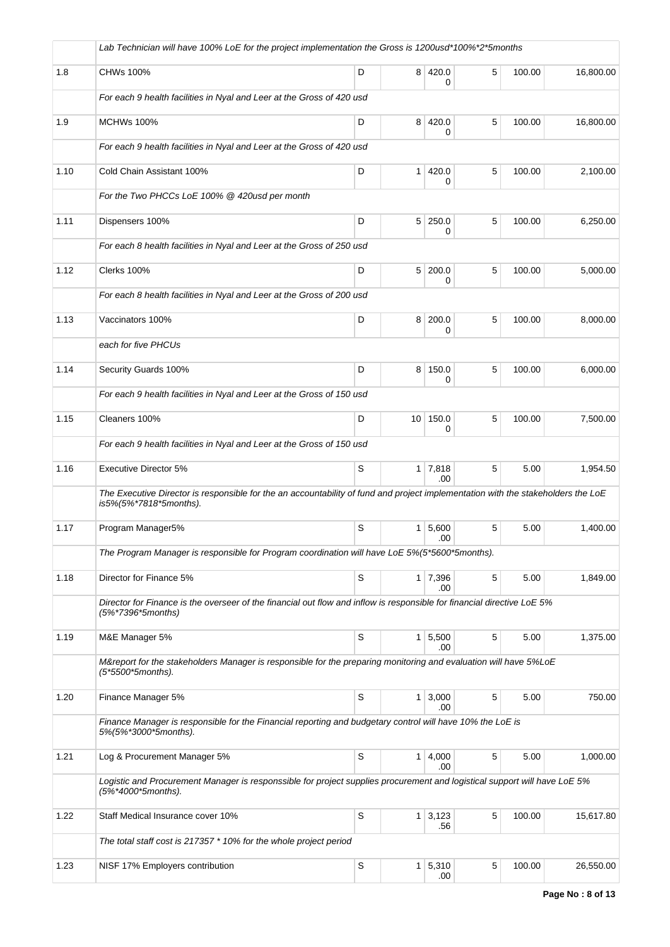|      | Lab Technician will have 100% LoE for the project implementation the Gross is 1200usd*100%*2*5months                                                       |   |                |                       |   |        |           |
|------|------------------------------------------------------------------------------------------------------------------------------------------------------------|---|----------------|-----------------------|---|--------|-----------|
| 1.8  | CHWs 100%                                                                                                                                                  | D |                | 8 420.0<br>0          | 5 | 100.00 | 16,800.00 |
|      | For each 9 health facilities in Nyal and Leer at the Gross of 420 usd                                                                                      |   |                |                       |   |        |           |
| 1.9  | <b>MCHWs 100%</b>                                                                                                                                          | D | 8 <sup>1</sup> | 420.0<br>0            | 5 | 100.00 | 16,800.00 |
|      | For each 9 health facilities in Nyal and Leer at the Gross of 420 usd                                                                                      |   |                |                       |   |        |           |
| 1.10 | Cold Chain Assistant 100%                                                                                                                                  | D | 1 <sup>1</sup> | 420.0<br>0            | 5 | 100.00 | 2,100.00  |
|      | For the Two PHCCs LoE 100% @ 420usd per month                                                                                                              |   |                |                       |   |        |           |
| 1.11 | Dispensers 100%                                                                                                                                            | D |                | $5 \mid 250.0$<br>0   | 5 | 100.00 | 6,250.00  |
|      | For each 8 health facilities in Nyal and Leer at the Gross of 250 usd                                                                                      |   |                |                       |   |        |           |
| 1.12 | Clerks 100%                                                                                                                                                | D |                | 5 200.0<br>0          | 5 | 100.00 | 5,000.00  |
|      | For each 8 health facilities in Nyal and Leer at the Gross of 200 usd                                                                                      |   |                |                       |   |        |           |
| 1.13 | Vaccinators 100%                                                                                                                                           | D | 8 <sup>1</sup> | 200.0<br>0            | 5 | 100.00 | 8,000.00  |
|      | each for five PHCUs                                                                                                                                        |   |                |                       |   |        |           |
| 1.14 | Security Guards 100%                                                                                                                                       | D |                | 8 150.0<br>0          | 5 | 100.00 | 6,000.00  |
|      | For each 9 health facilities in Nyal and Leer at the Gross of 150 usd                                                                                      |   |                |                       |   |        |           |
| 1.15 | Cleaners 100%                                                                                                                                              | D |                | 10 150.0<br>0         | 5 | 100.00 | 7,500.00  |
|      | For each 9 health facilities in Nyal and Leer at the Gross of 150 usd                                                                                      |   |                |                       |   |        |           |
| 1.16 | <b>Executive Director 5%</b>                                                                                                                               | S |                | $1 \mid 7,818$<br>.00 | 5 | 5.00   | 1,954.50  |
|      | The Executive Director is responsible for the an accountability of fund and project implementation with the stakeholders the LoE<br>is5%(5%*7818*5months). |   |                |                       |   |        |           |
| 1.17 | Program Manager5%                                                                                                                                          | S | 1 <sup>1</sup> | 5,600<br>.00          | 5 | 5.00   | 1,400.00  |
|      | The Program Manager is responsible for Program coordination will have LoE 5%(5*5600*5months).                                                              |   |                |                       |   |        |           |
| 1.18 | Director for Finance 5%                                                                                                                                    | S |                | 1 7,396<br>.00        | 5 | 5.00   | 1,849.00  |
|      | Director for Finance is the overseer of the financial out flow and inflow is responsible for financial directive LoE 5%<br>(5%*7396*5months)               |   |                |                       |   |        |           |
| 1.19 | M&E Manager 5%                                                                                                                                             | S |                | 1   5,500<br>.00      | 5 | 5.00   | 1,375.00  |
|      | M&report for the stakeholders Manager is responsible for the preparing monitoring and evaluation will have 5%LoE<br>(5*5500*5months).                      |   |                |                       |   |        |           |
| 1.20 | Finance Manager 5%                                                                                                                                         | S |                | $1 \mid 3,000$<br>.00 | 5 | 5.00   | 750.00    |
|      | Finance Manager is responsible for the Financial reporting and budgetary control will have 10% the LoE is<br>5%(5%*3000*5months).                          |   |                |                       |   |        |           |
| 1.21 | Log & Procurement Manager 5%                                                                                                                               | S |                | $1 \mid 4,000$<br>.00 | 5 | 5.00   | 1,000.00  |
|      | Logistic and Procurement Manager is responssible for project supplies procurement and logistical support will have LoE 5%<br>(5%*4000*5months).            |   |                |                       |   |        |           |
| 1.22 | Staff Medical Insurance cover 10%                                                                                                                          | S |                | $1 \mid 3,123$<br>.56 | 5 | 100.00 | 15,617.80 |
|      | The total staff cost is 217357 * 10% for the whole project period                                                                                          |   |                |                       |   |        |           |
| 1.23 | NISF 17% Employers contribution                                                                                                                            | S |                | 1 5,310<br>.00        | 5 | 100.00 | 26,550.00 |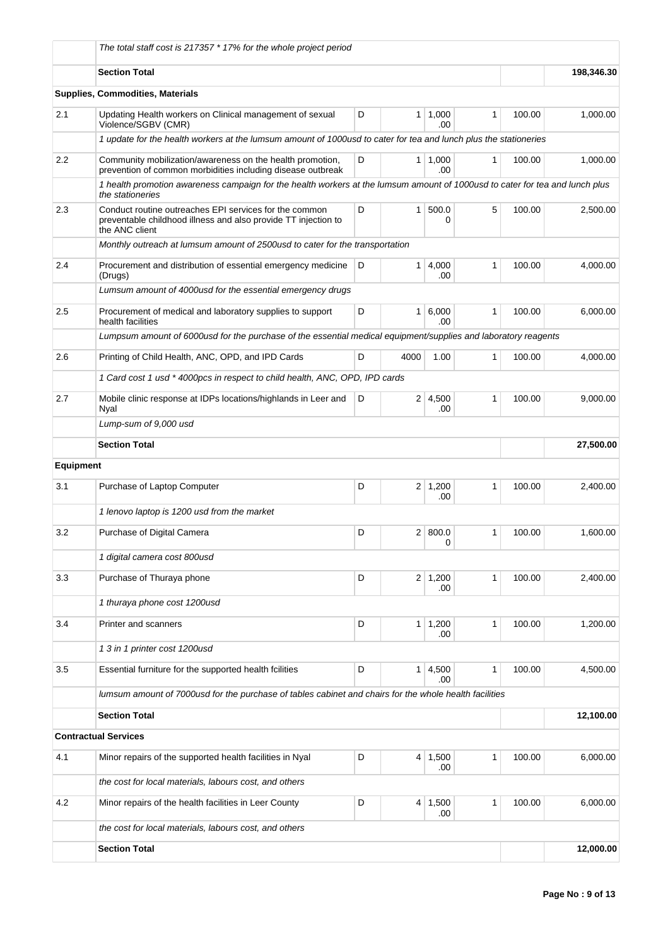|                  | The total staff cost is 217357 * 17% for the whole project period                                                                                |        |                 |                       |              |        |           |
|------------------|--------------------------------------------------------------------------------------------------------------------------------------------------|--------|-----------------|-----------------------|--------------|--------|-----------|
|                  | <b>Section Total</b>                                                                                                                             |        | 198,346.30      |                       |              |        |           |
|                  | Supplies, Commodities, Materials                                                                                                                 |        |                 |                       |              |        |           |
| 2.1              | Updating Health workers on Clinical management of sexual<br>Violence/SGBV (CMR)                                                                  | D      | $\mathbf{1}$    | 1,000<br>.00          | 1            | 100.00 | 1,000.00  |
|                  | 1 update for the health workers at the lumsum amount of 1000usd to cater for tea and lunch plus the stationeries                                 |        |                 |                       |              |        |           |
| $2.2\,$          | Community mobilization/awareness on the health promotion,<br>prevention of common morbidities including disease outbreak                         | D      | 1 <sup>1</sup>  | 1.000<br>.00          | $\mathbf{1}$ | 100.00 | 1,000.00  |
|                  | 1 health promotion awareness campaign for the health workers at the lumsum amount of 1000usd to cater for tea and lunch plus<br>the stationeries |        |                 |                       |              |        |           |
| 2.3              | Conduct routine outreaches EPI services for the common<br>preventable childhood illness and also provide TT injection to<br>the ANC client       | 100.00 | 2,500.00        |                       |              |        |           |
|                  | Monthly outreach at lumsum amount of 2500usd to cater for the transportation                                                                     |        |                 |                       |              |        |           |
| 2.4              | Procurement and distribution of essential emergency medicine<br>(Drugs)                                                                          | D      | $\mathbf{1}$    | 4,000<br>.00          | 1            | 100.00 | 4.000.00  |
|                  | Lumsum amount of 4000usd for the essential emergency drugs                                                                                       |        |                 |                       |              |        |           |
| 2.5              | Procurement of medical and laboratory supplies to support<br>health facilities                                                                   | D      | $\mathbf{1}$    | 6,000<br>.00          | 1            | 100.00 | 6,000.00  |
|                  | Lumpsum amount of 6000usd for the purchase of the essential medical equipment/supplies and laboratory reagents                                   |        |                 |                       |              |        |           |
| 2.6              | Printing of Child Health, ANC, OPD, and IPD Cards                                                                                                | D      | 4000            | 1.00                  | 1            | 100.00 | 4,000.00  |
|                  | 1 Card cost 1 usd * 4000pcs in respect to child health, ANC, OPD, IPD cards                                                                      |        |                 |                       |              |        |           |
| 2.7              | D<br>$2 \mid 4,500$<br>1<br>Mobile clinic response at IDPs locations/highlands in Leer and<br>Nyal<br>.00                                        |        |                 |                       |              | 100.00 | 9,000.00  |
|                  | Lump-sum of 9,000 usd                                                                                                                            |        |                 |                       |              |        |           |
|                  | <b>Section Total</b>                                                                                                                             |        |                 |                       |              |        | 27,500.00 |
| <b>Equipment</b> |                                                                                                                                                  |        |                 |                       |              |        |           |
| 3.1              | Purchase of Laptop Computer                                                                                                                      | D      |                 | $2 \mid 1,200$<br>.00 | 1            | 100.00 | 2,400.00  |
|                  | 1 lenovo laptop is 1200 usd from the market                                                                                                      |        |                 |                       |              |        |           |
| 3.2              | Purchase of Digital Camera                                                                                                                       | D      |                 | 2   800.0<br>0        | 1            | 100.00 | 1,600.00  |
|                  | 1 digital camera cost 800usd                                                                                                                     |        |                 |                       |              |        |           |
| 3.3              | Purchase of Thuraya phone                                                                                                                        | D      |                 | $2 \mid 1,200$<br>.00 | $\mathbf{1}$ | 100.00 | 2,400.00  |
|                  | 1 thuraya phone cost 1200usd                                                                                                                     |        |                 |                       |              |        |           |
| 3.4              | Printer and scanners                                                                                                                             | D      | 1               | 1,200<br>.00          | $\mathbf{1}$ | 100.00 | 1,200.00  |
|                  | 1 3 in 1 printer cost 1200usd                                                                                                                    |        |                 |                       |              |        |           |
| 3.5              | Essential furniture for the supported health fcilities                                                                                           | D      | 1               | 4,500<br>.00          | 1            | 100.00 | 4,500.00  |
|                  | lumsum amount of 7000usd for the purchase of tables cabinet and chairs for the whole health facilities                                           |        |                 |                       |              |        |           |
|                  | <b>Section Total</b>                                                                                                                             |        |                 |                       |              |        | 12,100.00 |
|                  | <b>Contractual Services</b>                                                                                                                      |        |                 |                       |              |        |           |
| 4.1              | Minor repairs of the supported health facilities in Nyal                                                                                         | D      | $\vert 4 \vert$ | 1,500<br>.00          | $\mathbf{1}$ | 100.00 | 6,000.00  |
|                  | the cost for local materials, labours cost, and others                                                                                           |        |                 |                       |              |        |           |
| 4.2              | Minor repairs of the health facilities in Leer County                                                                                            | D      | 4 <sup>1</sup>  | 1,500<br>.00          | 1            | 100.00 | 6,000.00  |
|                  | the cost for local materials, labours cost, and others                                                                                           |        |                 |                       |              |        |           |
|                  | <b>Section Total</b>                                                                                                                             |        |                 |                       |              |        | 12,000.00 |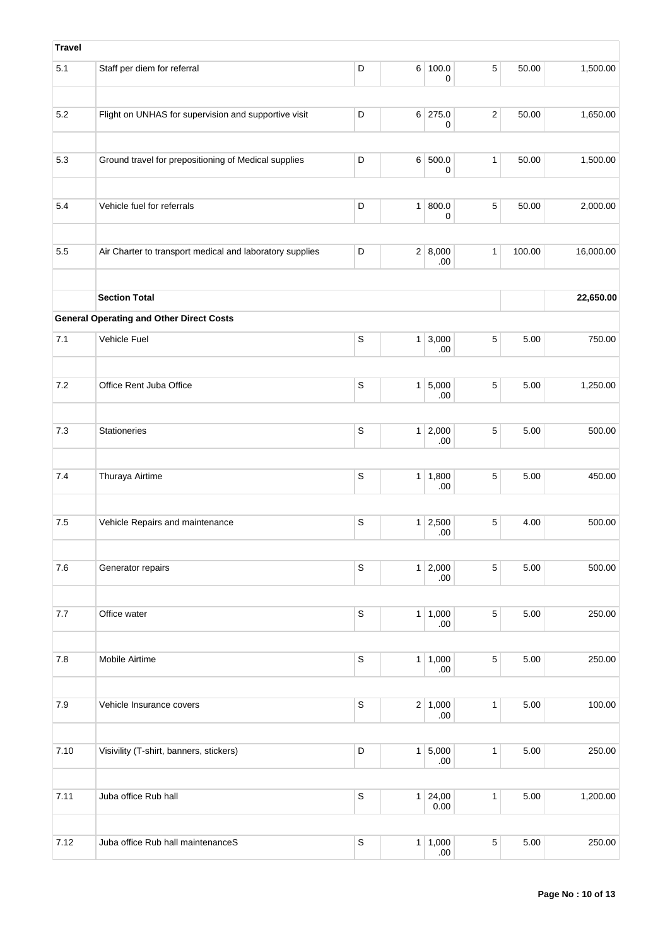| <b>Travel</b> |                                                                                                 |             |                |                       |                |       |           |
|---------------|-------------------------------------------------------------------------------------------------|-------------|----------------|-----------------------|----------------|-------|-----------|
| 5.1           | Staff per diem for referral                                                                     | D           |                | 6 100.0<br>0          | $\sqrt{5}$     | 50.00 | 1,500.00  |
| 5.2           | Flight on UNHAS for supervision and supportive visit                                            | D           |                | $6$ 275.0<br>0        | $\overline{2}$ | 50.00 | 1,650.00  |
|               |                                                                                                 |             |                |                       |                |       |           |
| 5.3           | Ground travel for prepositioning of Medical supplies                                            | D           |                | 6 500.0<br>0          | 1              | 50.00 | 1,500.00  |
| 5.4           | Vehicle fuel for referrals                                                                      | D           |                | 1   800.0<br>0        | $\,$ 5 $\,$    | 50.00 | 2,000.00  |
|               |                                                                                                 |             |                |                       |                |       |           |
| 5.5           | 2 8,000<br>Air Charter to transport medical and laboratory supplies<br>D<br>$\mathbf{1}$<br>.00 |             |                |                       |                |       | 16,000.00 |
|               | <b>Section Total</b>                                                                            |             |                |                       |                |       | 22,650.00 |
|               | <b>General Operating and Other Direct Costs</b>                                                 |             |                |                       |                |       |           |
| 7.1           | Vehicle Fuel                                                                                    | $\mathsf S$ |                | $1 \mid 3,000$<br>.00 | $\,$ 5 $\,$    | 5.00  | 750.00    |
| $7.2\,$       | Office Rent Juba Office                                                                         | $\mathsf S$ |                | 1 5,000<br>.00        | $\sqrt{5}$     | 5.00  | 1,250.00  |
|               |                                                                                                 |             |                |                       |                |       |           |
| 7.3           | <b>Stationeries</b>                                                                             | $\mathsf S$ |                | $1 \ 2,000$<br>.00    | $\sqrt{5}$     | 5.00  | 500.00    |
|               |                                                                                                 |             |                |                       |                |       |           |
| 7.4           | Thuraya Airtime                                                                                 | $\mathsf S$ | 1 <sup>1</sup> | 1,800<br>.00          | $\,$ 5 $\,$    | 5.00  | 450.00    |
| $7.5$         | Vehicle Repairs and maintenance                                                                 | $\mathsf S$ |                | $1 \mid 2,500$<br>.00 | $\,$ 5 $\,$    | 4.00  | 500.00    |
| 7.6           | Generator repairs                                                                               | S           |                | 1 2,000               | $\sqrt{5}$     | 5.00  | 500.00    |
|               |                                                                                                 |             |                | .00                   |                |       |           |
| 7.7           | Office water                                                                                    | $\mathsf S$ |                | 1   1,000<br>.00      | $\,$ 5 $\,$    | 5.00  | 250.00    |
| 7.8           | <b>Mobile Airtime</b>                                                                           | $\mathsf S$ |                | 1   1,000<br>.00      | $\sqrt{5}$     | 5.00  | 250.00    |
|               |                                                                                                 |             |                |                       |                |       |           |
| $7.9$         | Vehicle Insurance covers                                                                        | $\mathbb S$ |                | $2 \mid 1,000$<br>.00 | 1              | 5.00  | 100.00    |
|               |                                                                                                 |             |                |                       |                |       |           |
| 7.10          | Visivility (T-shirt, banners, stickers)                                                         | $\mathsf D$ |                | 1 5,000<br>.00        | $\mathbf{1}$   | 5.00  | 250.00    |
| 7.11          | Juba office Rub hall                                                                            | $\mathsf S$ |                | $1 \ 24,00$<br>0.00   | $\mathbf{1}$   | 5.00  | 1,200.00  |
|               |                                                                                                 |             |                |                       |                |       |           |
| 7.12          | Juba office Rub hall maintenanceS                                                               | $\mathsf S$ |                | 1   1,000<br>.00      | $\,$ 5 $\,$    | 5.00  | 250.00    |